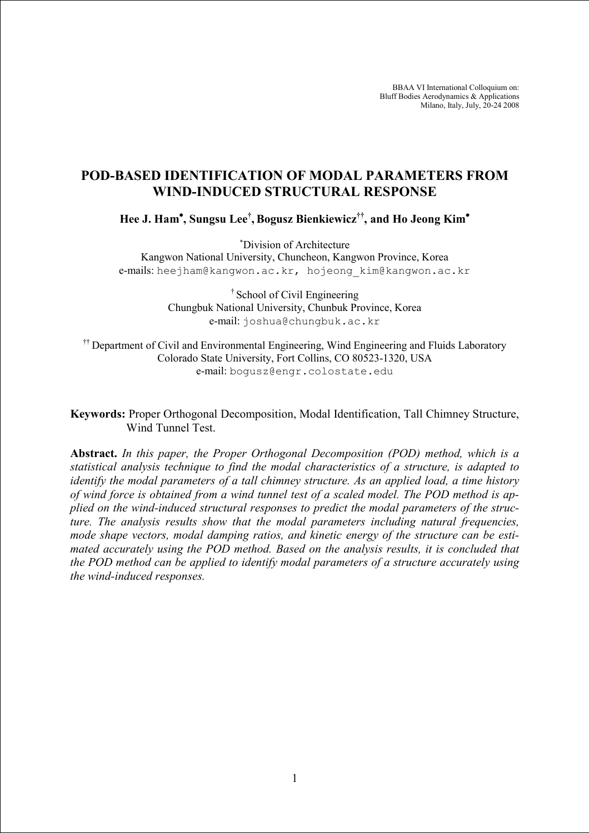BBAA VI International Colloquium on: Bluff Bodies Aerodynamics & Applications Milano, Italy, July, 20-24 2008

# POD-BASED IDENTIFICATION OF MODAL PARAMETERS FROM WIND-INDUCED STRUCTURAL RESPONSE

Hee J. Ham<sup>∗</sup> , Sungsu Lee† , Bogusz Bienkiewicz††, and Ho Jeong Kim<sup>∗</sup>

<sup>∗</sup>Division of Architecture

Kangwon National University, Chuncheon, Kangwon Province, Korea e-mails: heejham@kangwon.ac.kr, hojeong kim@kangwon.ac.kr

> † School of Civil Engineering Chungbuk National University, Chunbuk Province, Korea e-mail: joshua@chungbuk.ac.kr

<sup>††</sup> Department of Civil and Environmental Engineering, Wind Engineering and Fluids Laboratory Colorado State University, Fort Collins, CO 80523-1320, USA e-mail: bogusz@engr.colostate.edu

# Keywords: Proper Orthogonal Decomposition, Modal Identification, Tall Chimney Structure, Wind Tunnel Test.

Abstract. In this paper, the Proper Orthogonal Decomposition (POD) method, which is a statistical analysis technique to find the modal characteristics of a structure, is adapted to identify the modal parameters of a tall chimney structure. As an applied load, a time history of wind force is obtained from a wind tunnel test of a scaled model. The POD method is applied on the wind-induced structural responses to predict the modal parameters of the structure. The analysis results show that the modal parameters including natural frequencies, mode shape vectors, modal damping ratios, and kinetic energy of the structure can be estimated accurately using the POD method. Based on the analysis results, it is concluded that the POD method can be applied to identify modal parameters of a structure accurately using the wind-induced responses.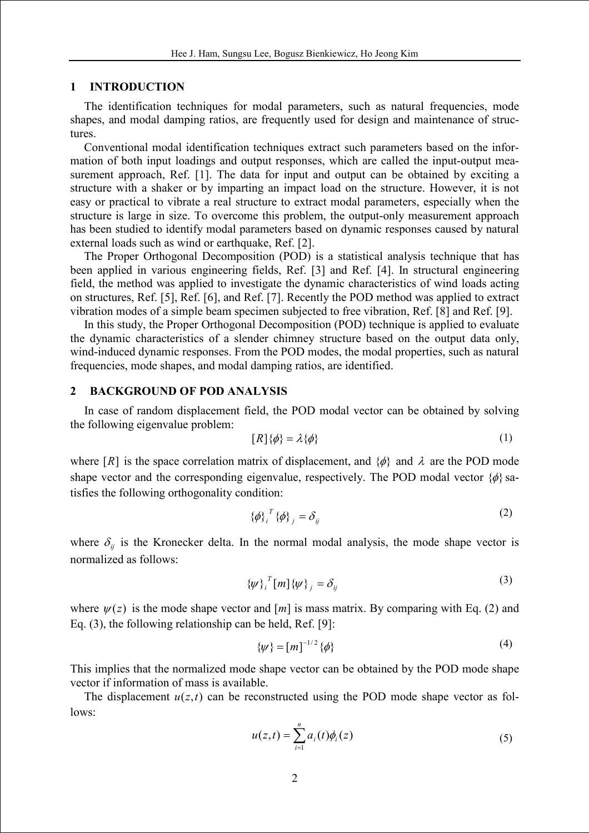#### 1 INTRODUCTION

The identification techniques for modal parameters, such as natural frequencies, mode shapes, and modal damping ratios, are frequently used for design and maintenance of structures.

Conventional modal identification techniques extract such parameters based on the information of both input loadings and output responses, which are called the input-output measurement approach, Ref. [1]. The data for input and output can be obtained by exciting a structure with a shaker or by imparting an impact load on the structure. However, it is not easy or practical to vibrate a real structure to extract modal parameters, especially when the structure is large in size. To overcome this problem, the output-only measurement approach has been studied to identify modal parameters based on dynamic responses caused by natural external loads such as wind or earthquake, Ref. [2].

The Proper Orthogonal Decomposition (POD) is a statistical analysis technique that has been applied in various engineering fields, Ref. [3] and Ref. [4]. In structural engineering field, the method was applied to investigate the dynamic characteristics of wind loads acting on structures, Ref. [5], Ref. [6], and Ref. [7]. Recently the POD method was applied to extract vibration modes of a simple beam specimen subjected to free vibration, Ref. [8] and Ref. [9].

In this study, the Proper Orthogonal Decomposition (POD) technique is applied to evaluate the dynamic characteristics of a slender chimney structure based on the output data only, wind-induced dynamic responses. From the POD modes, the modal properties, such as natural frequencies, mode shapes, and modal damping ratios, are identified.

### 2 BACKGROUND OF POD ANALYSIS

In case of random displacement field, the POD modal vector can be obtained by solving the following eigenvalue problem:

$$
[R]\{\phi\} = \lambda\{\phi\} \tag{1}
$$

where  $[R]$  is the space correlation matrix of displacement, and  $\{\phi\}$  and  $\lambda$  are the POD mode shape vector and the corresponding eigenvalue, respectively. The POD modal vector  $\{\phi\}$  satisfies the following orthogonality condition:

$$
\{\phi\}_{i}^{T}\{\phi\}_{j} = \delta_{ij} \tag{2}
$$

where  $\delta_{ij}$  is the Kronecker delta. In the normal modal analysis, the mode shape vector is normalized as follows:

$$
\{\psi\}_{i}^{T}[m]\{\psi\}_{j} = \delta_{ij} \tag{3}
$$

where  $\psi(z)$  is the mode shape vector and  $[m]$  is mass matrix. By comparing with Eq. (2) and Eq. (3), the following relationship can be held, Ref. [9]:

$$
\{\psi\} = [m]^{-1/2} \{\phi\} \tag{4}
$$

This implies that the normalized mode shape vector can be obtained by the POD mode shape vector if information of mass is available.

The displacement  $u(z,t)$  can be reconstructed using the POD mode shape vector as follows:

$$
u(z,t) = \sum_{i=1}^{n} a_i(t)\phi_i(z)
$$
 (5)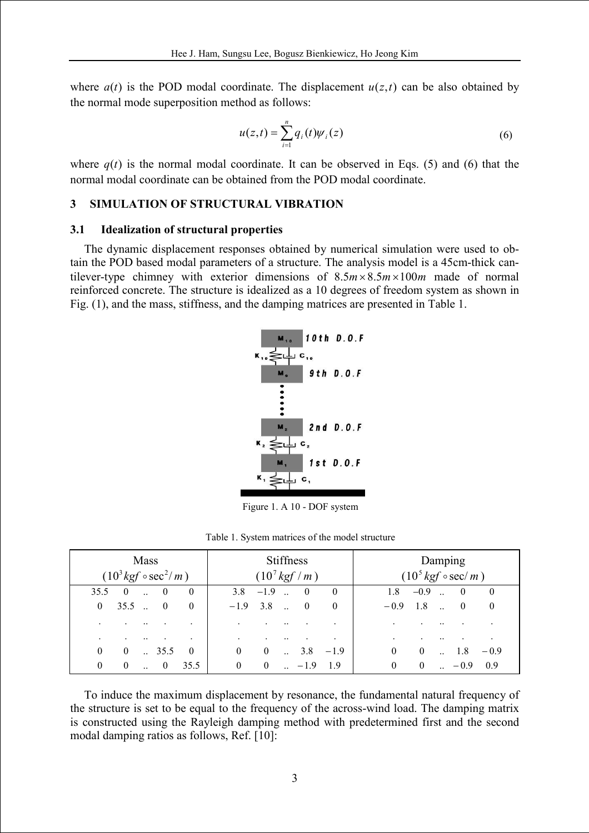where  $a(t)$  is the POD modal coordinate. The displacement  $u(z,t)$  can be also obtained by the normal mode superposition method as follows:

$$
u(z,t) = \sum_{i=1}^{n} q_i(t) \psi_i(z)
$$
 (6)

where  $q(t)$  is the normal modal coordinate. It can be observed in Eqs. (5) and (6) that the normal modal coordinate can be obtained from the POD modal coordinate.

# 3 SIMULATION OF STRUCTURAL VIBRATION

### 3.1 Idealization of structural properties

The dynamic displacement responses obtained by numerical simulation were used to obtain the POD based modal parameters of a structure. The analysis model is a 45cm-thick cantilever-type chimney with exterior dimensions of  $8.5m \times 8.5m \times 100m$  made of normal reinforced concrete. The structure is idealized as a 10 degrees of freedom system as shown in Fig. (1), and the mass, stiffness, and the damping matrices are presented in Table 1.



Figure 1. A 10 - DOF system

|  |  |  |  |  | Table 1. System matrices of the model structure |
|--|--|--|--|--|-------------------------------------------------|
|--|--|--|--|--|-------------------------------------------------|

|                |          | <b>Mass</b>  | $(10^3 \text{kg} f \circ \text{sec}^2/m)$ |                      |          |                | <b>Stiffness</b><br>$(10^{7} \text{ kgf} / m)$ |          |          |          |            | Damping<br>$(10^5 \text{ kgf} \circ \text{sec}/m)$ |          |
|----------------|----------|--------------|-------------------------------------------|----------------------|----------|----------------|------------------------------------------------|----------|----------|----------|------------|----------------------------------------------------|----------|
| 35.5           | $\theta$ |              | $\theta$                                  | $\theta$             | 3.8      | $-1.9$         | $\theta$                                       | $\theta$ | 1.8      | $-0.9$   | $\dddotsc$ | $\theta$                                           | $\theta$ |
| $\overline{0}$ | 35.5     | $\sim$       | $\overline{0}$                            | $\theta$             | $-1.9$   | 3.8            | $\overline{0}$                                 | $\theta$ | $-0.9$   | 1.8      | $\ddotsc$  | $\overline{0}$                                     | $\theta$ |
|                |          |              |                                           |                      |          |                |                                                |          |          |          |            |                                                    |          |
|                |          |              |                                           | $\ddot{\phantom{0}}$ |          |                |                                                |          |          |          |            |                                                    |          |
| $\mathbf{0}$   | $\bf{0}$ | $\mathbf{r}$ | 35.5                                      | $\theta$             | $\theta$ | $\overline{0}$ | 3.8                                            | $-1.9$   | $\theta$ | $\theta$ |            | 1.8                                                | $-0.9$   |
| $\mathbf{0}$   | $\theta$ |              | $\theta$                                  | 35.5                 | $\theta$ | $\theta$       | $-1.9$                                         | 19       |          | $\theta$ |            | $-0.9$                                             | 09       |

To induce the maximum displacement by resonance, the fundamental natural frequency of the structure is set to be equal to the frequency of the across-wind load. The damping matrix is constructed using the Rayleigh damping method with predetermined first and the second modal damping ratios as follows, Ref. [10]: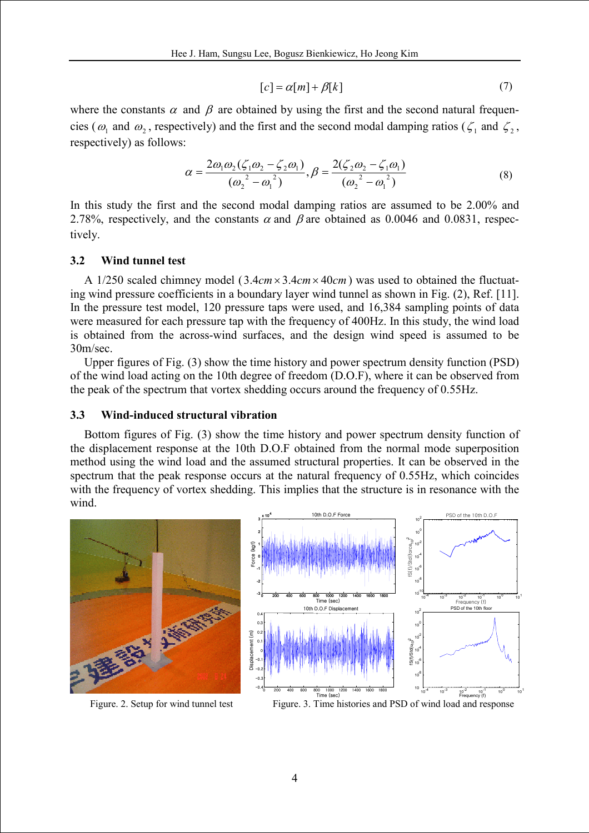$$
[c] = \alpha[m] + \beta[k] \tag{7}
$$

where the constants  $\alpha$  and  $\beta$  are obtained by using the first and the second natural frequencies ( $\omega_1$  and  $\omega_2$ , respectively) and the first and the second modal damping ratios ( $\zeta_1$  and  $\zeta_2$ , respectively) as follows:

$$
\alpha = \frac{2\omega_1\omega_2(\zeta_1\omega_2 - \zeta_2\omega_1)}{(\omega_2^2 - \omega_1^2)}, \beta = \frac{2(\zeta_2\omega_2 - \zeta_1\omega_1)}{(\omega_2^2 - \omega_1^2)}
$$
(8)

In this study the first and the second modal damping ratios are assumed to be 2.00% and 2.78%, respectively, and the constants  $\alpha$  and  $\beta$  are obtained as 0.0046 and 0.0831, respectively.

### 3.2 Wind tunnel test

A 1/250 scaled chimney model (3.4 $cm \times 3.4 cm \times 40 cm$ ) was used to obtained the fluctuating wind pressure coefficients in a boundary layer wind tunnel as shown in Fig. (2), Ref. [11]. In the pressure test model, 120 pressure taps were used, and 16,384 sampling points of data were measured for each pressure tap with the frequency of 400Hz. In this study, the wind load is obtained from the across-wind surfaces, and the design wind speed is assumed to be 30m/sec.

Upper figures of Fig. (3) show the time history and power spectrum density function (PSD) of the wind load acting on the 10th degree of freedom (D.O.F), where it can be observed from the peak of the spectrum that vortex shedding occurs around the frequency of 0.55Hz.

### 3.3 Wind-induced structural vibration

Bottom figures of Fig. (3) show the time history and power spectrum density function of the displacement response at the 10th D.O.F obtained from the normal mode superposition method using the wind load and the assumed structural properties. It can be observed in the spectrum that the peak response occurs at the natural frequency of 0.55Hz, which coincides with the frequency of vortex shedding. This implies that the structure is in resonance with the wind.



Figure. 2. Setup for wind tunnel test Figure. 3. Time histories and PSD of wind load and response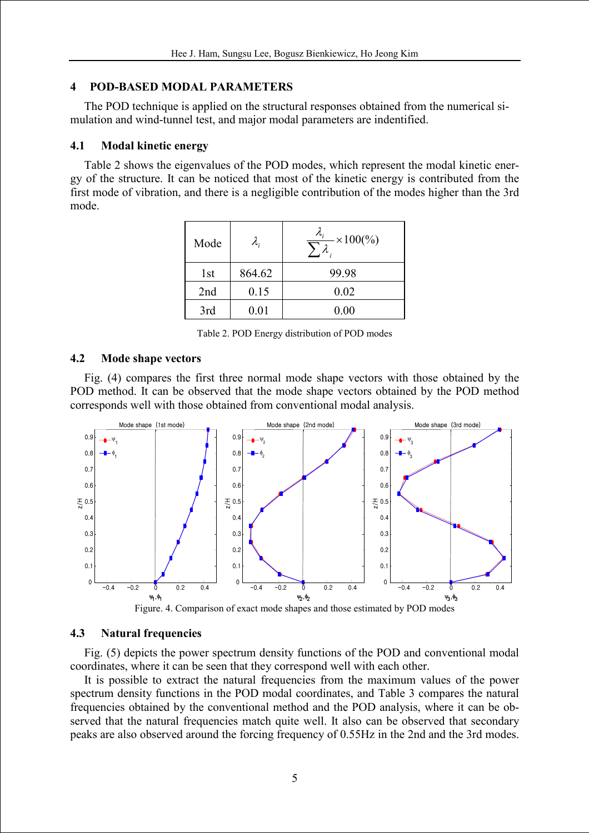# 4 POD-BASED MODAL PARAMETERS

The POD technique is applied on the structural responses obtained from the numerical simulation and wind-tunnel test, and major modal parameters are indentified.

# 4.1 Modal kinetic energy

Table 2 shows the eigenvalues of the POD modes, which represent the modal kinetic energy of the structure. It can be noticed that most of the kinetic energy is contributed from the first mode of vibration, and there is a negligible contribution of the modes higher than the 3rd mode.

| Mode | $\lambda_{\scriptscriptstyle i}$ | $\frac{\lambda_i}{\sum_i}$<br>$- \times 100\frac{6}{9}$ |
|------|----------------------------------|---------------------------------------------------------|
| 1st  | 864.62                           | 99.98                                                   |
| 2nd  | 0.15                             | 0.02                                                    |
| 3rd  | $0.01\,$                         | 0.00                                                    |

Table 2. POD Energy distribution of POD modes

### 4.2 Mode shape vectors

Fig. (4) compares the first three normal mode shape vectors with those obtained by the POD method. It can be observed that the mode shape vectors obtained by the POD method corresponds well with those obtained from conventional modal analysis.



### 4.3 Natural frequencies

Fig. (5) depicts the power spectrum density functions of the POD and conventional modal coordinates, where it can be seen that they correspond well with each other.

It is possible to extract the natural frequencies from the maximum values of the power spectrum density functions in the POD modal coordinates, and Table 3 compares the natural frequencies obtained by the conventional method and the POD analysis, where it can be observed that the natural frequencies match quite well. It also can be observed that secondary peaks are also observed around the forcing frequency of 0.55Hz in the 2nd and the 3rd modes.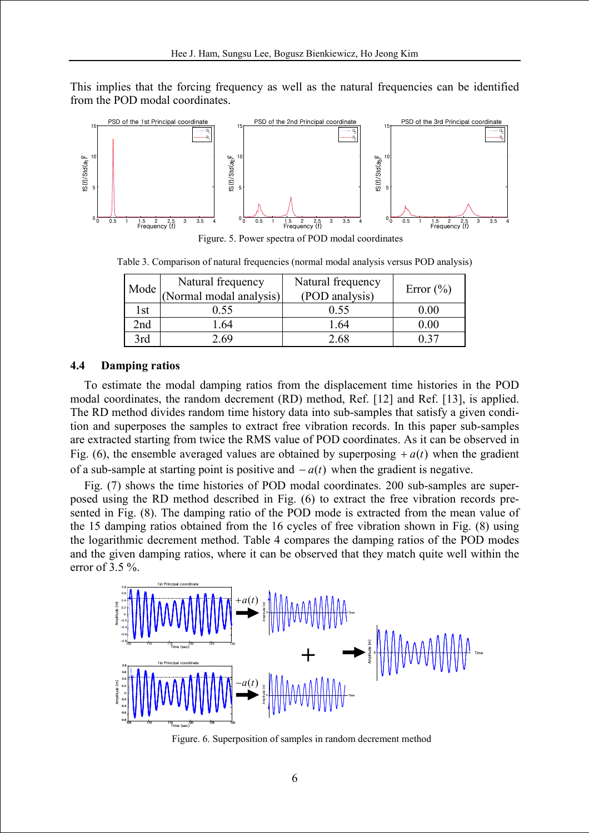This implies that the forcing frequency as well as the natural frequencies can be identified from the POD modal coordinates.



Figure. 5. Power spectra of POD modal coordinates

Table 3. Comparison of natural frequencies (normal modal analysis versus POD analysis)

| Mode | Natural frequency       | Natural frequency | Error $(\% )$ |  |
|------|-------------------------|-------------------|---------------|--|
|      | (Normal modal analysis) | (POD analysis)    |               |  |
| 1st  | 0.55                    | 0.55              | 0.00          |  |
| 2nd  | .64                     | -64               | 0.00          |  |
| 3rd  | 2.69                    | 2 68              | በ 37          |  |

### 4.4 Damping ratios

To estimate the modal damping ratios from the displacement time histories in the POD modal coordinates, the random decrement (RD) method, Ref. [12] and Ref. [13], is applied. The RD method divides random time history data into sub-samples that satisfy a given condition and superposes the samples to extract free vibration records. In this paper sub-samples are extracted starting from twice the RMS value of POD coordinates. As it can be observed in Fig. (6), the ensemble averaged values are obtained by superposing  $+a(t)$  when the gradient of a sub-sample at starting point is positive and  $-a(t)$  when the gradient is negative.

Fig. (7) shows the time histories of POD modal coordinates. 200 sub-samples are superposed using the RD method described in Fig. (6) to extract the free vibration records presented in Fig. (8). The damping ratio of the POD mode is extracted from the mean value of the 15 damping ratios obtained from the 16 cycles of free vibration shown in Fig. (8) using the logarithmic decrement method. Table 4 compares the damping ratios of the POD modes and the given damping ratios, where it can be observed that they match quite well within the error of 3.5 %.



Figure. 6. Superposition of samples in random decrement method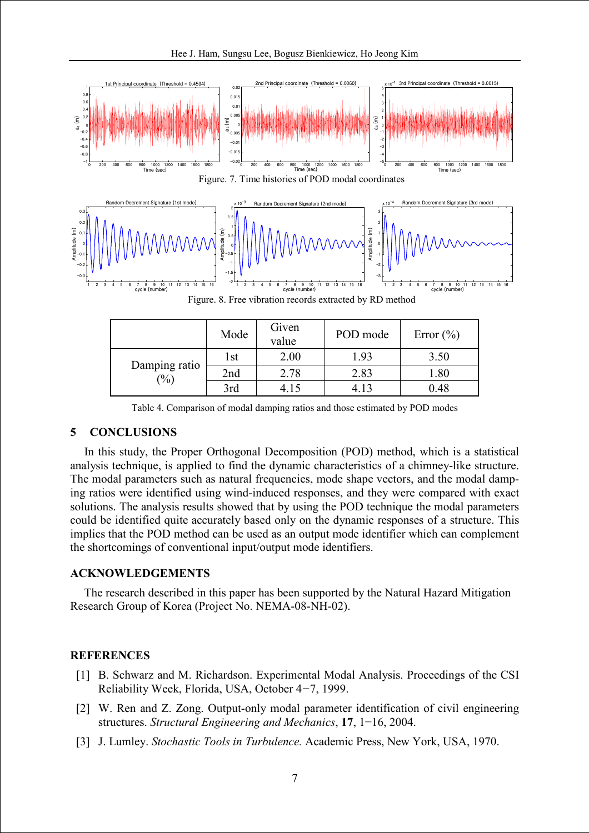

|                                             | Mode | Given<br>value | POD mode | Error $(\% )$ |
|---------------------------------------------|------|----------------|----------|---------------|
|                                             | 1st  | 2.00           | 1.93     | 3.50          |
| Damping ratio<br>$\left(\frac{0}{0}\right)$ | 2nd  | 2.78           | 2.83     | 1.80          |
|                                             | 3rd  |                | - 13     | 0.48          |

Table 4. Comparison of modal damping ratios and those estimated by POD modes

# 5 CONCLUSIONS

In this study, the Proper Orthogonal Decomposition (POD) method, which is a statistical analysis technique, is applied to find the dynamic characteristics of a chimney-like structure. The modal parameters such as natural frequencies, mode shape vectors, and the modal damping ratios were identified using wind-induced responses, and they were compared with exact solutions. The analysis results showed that by using the POD technique the modal parameters could be identified quite accurately based only on the dynamic responses of a structure. This implies that the POD method can be used as an output mode identifier which can complement the shortcomings of conventional input/output mode identifiers.

### ACKNOWLEDGEMENTS

The research described in this paper has been supported by the Natural Hazard Mitigation Research Group of Korea (Project No. NEMA-08-NH-02).

### **REFERENCES**

- [1] B. Schwarz and M. Richardson. Experimental Modal Analysis. Proceedings of the CSI Reliability Week, Florida, USA, October 4−7, 1999.
- [2] W. Ren and Z. Zong. Output-only modal parameter identification of civil engineering structures. Structural Engineering and Mechanics, 17, 1−16, 2004.
- [3] J. Lumley. Stochastic Tools in Turbulence. Academic Press, New York, USA, 1970.